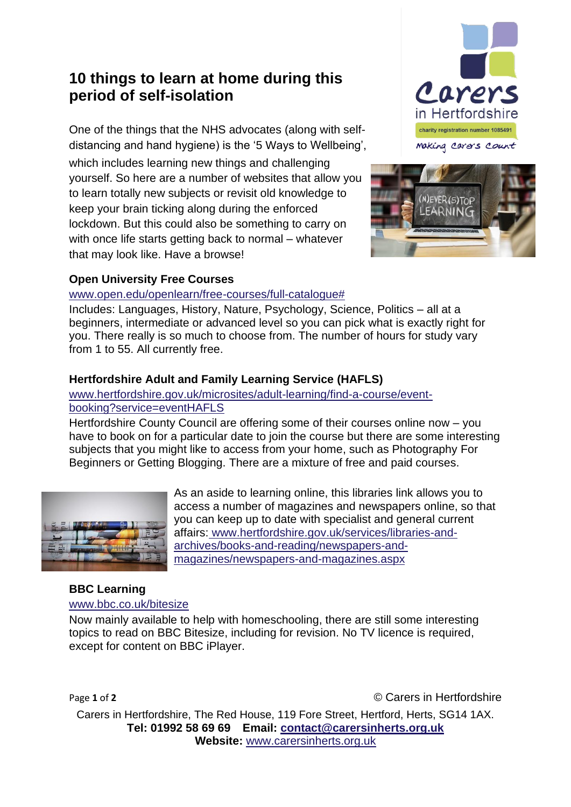# **10 things to learn at home during this period of self-isolation**

One of the things that the NHS advocates (along with selfdistancing and hand hygiene) is the '5 Ways to Wellbeing', which includes learning new things and challenging yourself. So here are a number of websites that allow you to learn totally new subjects or revisit old knowledge to keep your brain ticking along during the enforced lockdown. But this could also be something to carry on with once life starts getting back to normal – whatever that may look like. Have a browse!





# **Open University Free Courses**

## [www.open.edu/openlearn/free-courses/full-catalogue#](http://www.open.edu/openlearn/free-courses/full-catalogue)

Includes: Languages, History, Nature, Psychology, Science, Politics – all at a beginners, intermediate or advanced level so you can pick what is exactly right for you. There really is so much to choose from. The number of hours for study vary from 1 to 55. All currently free.

# **Hertfordshire Adult and Family Learning Service (HAFLS)**

## [www.hertfordshire.gov.uk/microsites/adult-learning/find-a-course/event](http://www.hertfordshire.gov.uk/microsites/adult-learning/find-a-course/event-booking?service=eventHAFLS)[booking?service=eventHAFLS](http://www.hertfordshire.gov.uk/microsites/adult-learning/find-a-course/event-booking?service=eventHAFLS)

Hertfordshire County Council are offering some of their courses online now – you have to book on for a particular date to join the course but there are some interesting subjects that you might like to access from your home, such as Photography For Beginners or Getting Blogging. There are a mixture of free and paid courses.



As an aside to learning online, this libraries link allows you to access a number of magazines and newspapers online, so that you can keep up to date with specialist and general current affairs: www.hertfordshire.gov.uk/services/libraries-andarchives/books-and-reading/newspapers-andmagazines/newspapers-and-magazines.aspx

# **BBC Learning**

#### [www.bbc.co.uk/bitesize](http://www.bbc.co.uk/bitesize)

Now mainly available to help with homeschooling, there are still some interesting topics to read on BBC Bitesize, including for revision. No TV licence is required, except for content on BBC iPlayer.

Page 1 of 2 **Carelle 1** of 2 **Carelle 1** of 2 **Carelle 1** of 2 **Carelle 1** of 2 **Carelle 1** of 2

Carers in Hertfordshire, The Red House, 119 Fore Street, Hertford, Herts, SG14 1AX. **Tel: 01992 58 69 69 Email: [contact@carersinherts.org.uk](mailto:contact@carersinherts.org.uk) Website:** [www.carersinherts.org.uk](http://www.carersinherts.org.uk/)